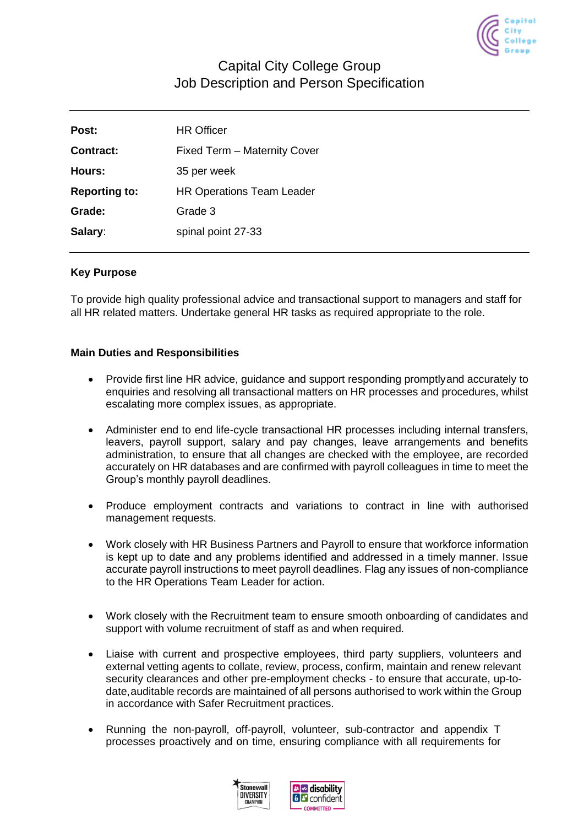

# Capital City College Group Job Description and Person Specification

| Post:                | <b>HR Officer</b>                |
|----------------------|----------------------------------|
| Contract:            | Fixed Term - Maternity Cover     |
| Hours:               | 35 per week                      |
| <b>Reporting to:</b> | <b>HR Operations Team Leader</b> |
| Grade:               | Grade 3                          |
| Salary:              | spinal point 27-33               |

### **Key Purpose**

To provide high quality professional advice and transactional support to managers and staff for all HR related matters. Undertake general HR tasks as required appropriate to the role.

### **Main Duties and Responsibilities**

- Provide first line HR advice, guidance and support responding promptlyand accurately to enquiries and resolving all transactional matters on HR processes and procedures, whilst escalating more complex issues, as appropriate.
- Administer end to end life-cycle transactional HR processes including internal transfers, leavers, payroll support, salary and pay changes, leave arrangements and benefits administration, to ensure that all changes are checked with the employee, are recorded accurately on HR databases and are confirmed with payroll colleagues in time to meet the Group's monthly payroll deadlines.
- Produce employment contracts and variations to contract in line with authorised management requests.
- Work closely with HR Business Partners and Payroll to ensure that workforce information is kept up to date and any problems identified and addressed in a timely manner. Issue accurate payroll instructions to meet payroll deadlines. Flag any issues of non-compliance to the HR Operations Team Leader for action.
- Work closely with the Recruitment team to ensure smooth onboarding of candidates and support with volume recruitment of staff as and when required.
- Liaise with current and prospective employees, third party suppliers, volunteers and external vetting agents to collate, review, process, confirm, maintain and renew relevant security clearances and other pre-employment checks - to ensure that accurate, up-todate,auditable records are maintained of all persons authorised to work within the Group in accordance with Safer Recruitment practices.
- Running the non-payroll, off-payroll, volunteer, sub-contractor and appendix T processes proactively and on time, ensuring compliance with all requirements for



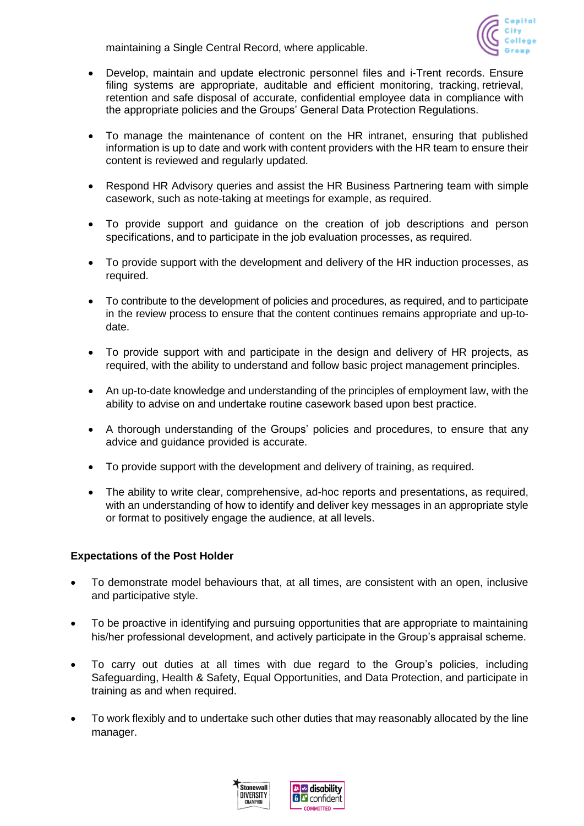maintaining a Single Central Record, where applicable.



- Develop, maintain and update electronic personnel files and i-Trent records. Ensure filing systems are appropriate, auditable and efficient monitoring, tracking, retrieval, retention and safe disposal of accurate, confidential employee data in compliance with the appropriate policies and the Groups' General Data Protection Regulations.
- To manage the maintenance of content on the HR intranet, ensuring that published information is up to date and work with content providers with the HR team to ensure their content is reviewed and regularly updated.
- Respond HR Advisory queries and assist the HR Business Partnering team with simple casework, such as note-taking at meetings for example, as required.
- To provide support and guidance on the creation of job descriptions and person specifications, and to participate in the job evaluation processes, as required.
- To provide support with the development and delivery of the HR induction processes, as required.
- To contribute to the development of policies and procedures, as required, and to participate in the review process to ensure that the content continues remains appropriate and up-todate.
- To provide support with and participate in the design and delivery of HR projects, as required, with the ability to understand and follow basic project management principles.
- An up-to-date knowledge and understanding of the principles of employment law, with the ability to advise on and undertake routine casework based upon best practice.
- A thorough understanding of the Groups' policies and procedures, to ensure that any advice and guidance provided is accurate.
- To provide support with the development and delivery of training, as required.
- The ability to write clear, comprehensive, ad-hoc reports and presentations, as required, with an understanding of how to identify and deliver key messages in an appropriate style or format to positively engage the audience, at all levels.

### **Expectations of the Post Holder**

- To demonstrate model behaviours that, at all times, are consistent with an open, inclusive and participative style.
- To be proactive in identifying and pursuing opportunities that are appropriate to maintaining his/her professional development, and actively participate in the Group's appraisal scheme.
- To carry out duties at all times with due regard to the Group's policies, including Safeguarding, Health & Safety, Equal Opportunities, and Data Protection, and participate in training as and when required.
- To work flexibly and to undertake such other duties that may reasonably allocated by the line manager.

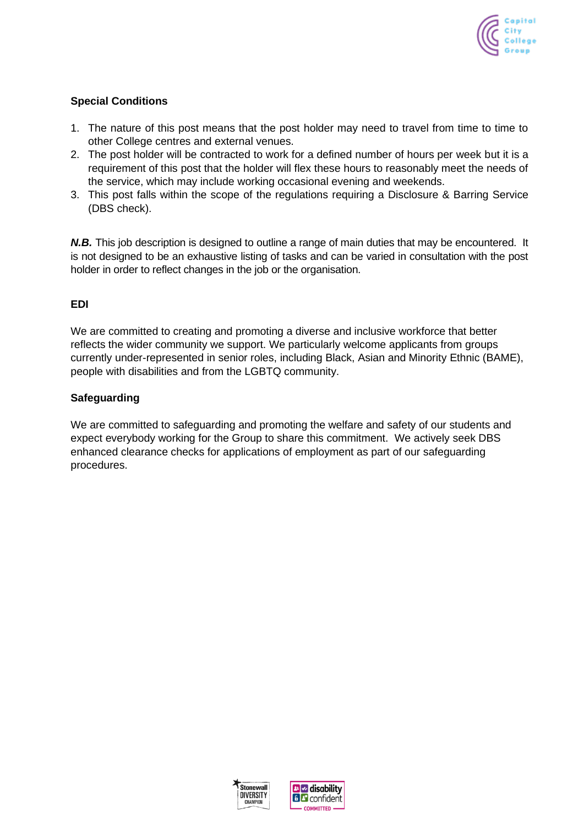

## **Special Conditions**

- 1. The nature of this post means that the post holder may need to travel from time to time to other College centres and external venues.
- 2. The post holder will be contracted to work for a defined number of hours per week but it is a requirement of this post that the holder will flex these hours to reasonably meet the needs of the service, which may include working occasional evening and weekends.
- 3. This post falls within the scope of the regulations requiring a Disclosure & Barring Service (DBS check).

*N.B.* This job description is designed to outline a range of main duties that may be encountered. It is not designed to be an exhaustive listing of tasks and can be varied in consultation with the post holder in order to reflect changes in the job or the organisation.

## **EDI**

We are committed to creating and promoting a diverse and inclusive workforce that better reflects the wider community we support. We particularly welcome applicants from groups currently under-represented in senior roles, including Black, Asian and Minority Ethnic (BAME), people with disabilities and from the LGBTQ community.

### **Safeguarding**

We are committed to safeguarding and promoting the welfare and safety of our students and expect everybody working for the Group to share this commitment. We actively seek DBS enhanced clearance checks for applications of employment as part of our safeguarding procedures.



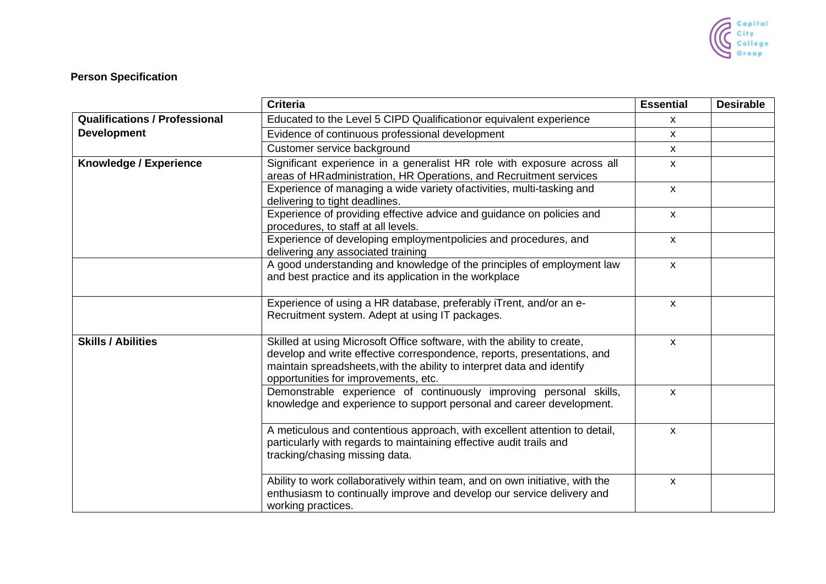

# **Person Specification**

|                                      | <b>Criteria</b>                                                                                                                                                                                                                                                      | <b>Essential</b>          | <b>Desirable</b> |
|--------------------------------------|----------------------------------------------------------------------------------------------------------------------------------------------------------------------------------------------------------------------------------------------------------------------|---------------------------|------------------|
| <b>Qualifications / Professional</b> | Educated to the Level 5 CIPD Qualification or equivalent experience                                                                                                                                                                                                  | $\boldsymbol{\mathsf{x}}$ |                  |
| <b>Development</b>                   | Evidence of continuous professional development                                                                                                                                                                                                                      | $\mathsf{x}$              |                  |
|                                      | Customer service background                                                                                                                                                                                                                                          | $\boldsymbol{\mathsf{x}}$ |                  |
| Knowledge / Experience               | Significant experience in a generalist HR role with exposure across all<br>areas of HRadministration, HR Operations, and Recruitment services                                                                                                                        | $\boldsymbol{\mathsf{x}}$ |                  |
|                                      | Experience of managing a wide variety of activities, multi-tasking and<br>delivering to tight deadlines.                                                                                                                                                             | $\mathsf{x}$              |                  |
|                                      | Experience of providing effective advice and guidance on policies and<br>procedures, to staff at all levels.                                                                                                                                                         | $\boldsymbol{\mathsf{x}}$ |                  |
|                                      | Experience of developing employmentpolicies and procedures, and<br>delivering any associated training                                                                                                                                                                | $\boldsymbol{\mathsf{x}}$ |                  |
|                                      | A good understanding and knowledge of the principles of employment law<br>and best practice and its application in the workplace                                                                                                                                     | $\boldsymbol{\mathsf{X}}$ |                  |
|                                      | Experience of using a HR database, preferably iTrent, and/or an e-<br>Recruitment system. Adept at using IT packages.                                                                                                                                                | $\boldsymbol{\mathsf{x}}$ |                  |
| <b>Skills / Abilities</b>            | Skilled at using Microsoft Office software, with the ability to create,<br>develop and write effective correspondence, reports, presentations, and<br>maintain spreadsheets, with the ability to interpret data and identify<br>opportunities for improvements, etc. | $\pmb{\mathsf{X}}$        |                  |
|                                      | Demonstrable experience of continuously improving personal skills,<br>knowledge and experience to support personal and career development.                                                                                                                           | $\pmb{\mathsf{X}}$        |                  |
|                                      | A meticulous and contentious approach, with excellent attention to detail,<br>particularly with regards to maintaining effective audit trails and<br>tracking/chasing missing data.                                                                                  | $\pmb{\mathsf{X}}$        |                  |
|                                      | Ability to work collaboratively within team, and on own initiative, with the<br>enthusiasm to continually improve and develop our service delivery and<br>working practices.                                                                                         | $\pmb{\mathsf{X}}$        |                  |